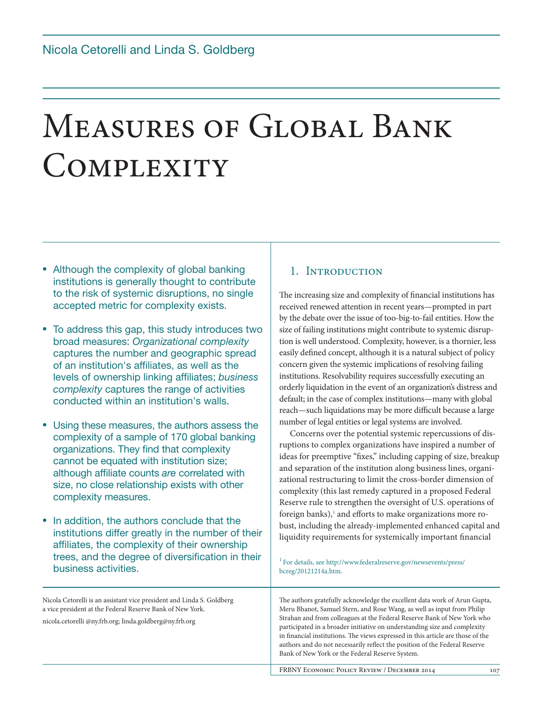# Measures of Global Bank **COMPLEXITY**

- Although the complexity of global banking institutions is generally thought to contribute to the risk of systemic disruptions, no single accepted metric for complexity exists.
- To address this gap, this study introduces two broad measures: *Organizational complexity* captures the number and geographic spread of an institution's affiliates, as well as the levels of ownership linking affiliates; *business complexity* captures the range of activities conducted within an institution's walls.
- Using these measures, the authors assess the complexity of a sample of 170 global banking organizations. They find that complexity cannot be equated with institution size; although affiliate counts *are* correlated with size, no close relationship exists with other complexity measures.
- In addition, the authors conclude that the institutions differ greatly in the number of their affiliates, the complexity of their ownership trees, and the degree of diversification in their business activities.

#### Nicola Cetorelli is an assistant vice president and Linda S. Goldberg a vice president at the Federal Reserve Bank of New York.

nicola.cetorelli @ny.frb.org; linda.goldberg@ny.frb.org

## 1. INTRODUCTION

The increasing size and complexity of financial institutions has received renewed attention in recent years—prompted in part by the debate over the issue of too-big-to-fail entities. How the size of failing institutions might contribute to systemic disruption is well understood. Complexity, however, is a thornier, less easily defined concept, although it is a natural subject of policy concern given the systemic implications of resolving failing institutions. Resolvability requires successfully executing an orderly liquidation in the event of an organization's distress and default; in the case of complex institutions—many with global reach—such liquidations may be more difficult because a large number of legal entities or legal systems are involved.

Concerns over the potential systemic repercussions of disruptions to complex organizations have inspired a number of ideas for preemptive "fixes," including capping of size, breakup and separation of the institution along business lines, organizational restructuring to limit the cross-border dimension of complexity (this last remedy captured in a proposed Federal Reserve rule to strengthen the oversight of U.S. operations of foreign banks),<sup>1</sup> and efforts to make organizations more robust, including the already-implemented enhanced capital and liquidity requirements for systemically important financial

<sup>1</sup> For details, see http://www.federalreserve.gov/newsevents/press/ bcreg/20121214a.htm.

The authors gratefully acknowledge the excellent data work of Arun Gupta, Meru Bhanot, Samuel Stern, and Rose Wang, as well as input from Philip Strahan and from colleagues at the Federal Reserve Bank of New York who participated in a broader initiative on understanding size and complexity in financial institutions. The views expressed in this article are those of the authors and do not necessarily reflect the position of the Federal Reserve Bank of New York or the Federal Reserve System.

FRBNY ECONOMIC POLICY REVIEW / DECEMBER 2014 107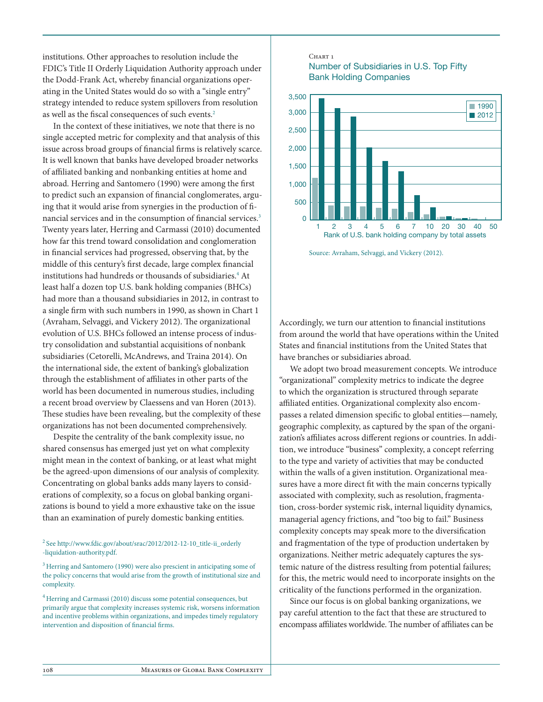institutions. Other approaches to resolution include the FDIC's Title II Orderly Liquidation Authority approach under the Dodd-Frank Act, whereby financial organizations operating in the United States would do so with a "single entry" strategy intended to reduce system spillovers from resolution as well as the fiscal consequences of such events.2

In the context of these initiatives, we note that there is no single accepted metric for complexity and that analysis of this issue across broad groups of financial firms is relatively scarce. It is well known that banks have developed broader networks of affiliated banking and nonbanking entities at home and abroad. Herring and Santomero (1990) were among the first to predict such an expansion of financial conglomerates, arguing that it would arise from synergies in the production of financial services and in the consumption of financial services.<sup>3</sup> Twenty years later, Herring and Carmassi (2010) documented how far this trend toward consolidation and conglomeration in financial services had progressed, observing that, by the middle of this century's first decade, large complex financial institutions had hundreds or thousands of subsidiaries.4 At least half a dozen top U.S. bank holding companies (BHCs) had more than a thousand subsidiaries in 2012, in contrast to a single firm with such numbers in 1990, as shown in Chart 1 (Avraham, Selvaggi, and Vickery 2012). The organizational evolution of U.S. BHCs followed an intense process of industry consolidation and substantial acquisitions of nonbank subsidiaries (Cetorelli, McAndrews, and Traina 2014). On the international side, the extent of banking's globalization through the establishment of affiliates in other parts of the world has been documented in numerous studies, including a recent broad overview by Claessens and van Horen (2013). These studies have been revealing, but the complexity of these organizations has not been documented comprehensively.

Despite the centrality of the bank complexity issue, no shared consensus has emerged just yet on what complexity might mean in the context of banking, or at least what might be the agreed-upon dimensions of our analysis of complexity. Concentrating on global banks adds many layers to considerations of complexity, so a focus on global banking organizations is bound to yield a more exhaustive take on the issue than an examination of purely domestic banking entities.

#### <sup>2</sup> See http://www.fdic.gov/about/srac/2012/2012-12-10\_title-ii\_orderly -liquidation-authority.pdf.

<sup>3</sup> Herring and Santomero (1990) were also prescient in anticipating some of the policy concerns that would arise from the growth of institutional size and complexity.

4 Herring and Carmassi (2010) discuss some potential consequences, but primarily argue that complexity increases systemic risk, worsens information and incentive problems within organizations, and impedes timely regulatory intervention and disposition of financial firms.

#### CHART<sub>1</sub> Number of Subsidiaries in U.S. Top Fifty Bank Holding Companies



Source: Avraham, Selvaggi, and Vickery (2012).

Accordingly, we turn our attention to financial institutions from around the world that have operations within the United States and financial institutions from the United States that have branches or subsidiaries abroad.

We adopt two broad measurement concepts. We introduce "organizational" complexity metrics to indicate the degree to which the organization is structured through separate affiliated entities. Organizational complexity also encompasses a related dimension specific to global entities—namely, geographic complexity, as captured by the span of the organization's affiliates across different regions or countries. In addition, we introduce "business" complexity, a concept referring to the type and variety of activities that may be conducted within the walls of a given institution. Organizational measures have a more direct fit with the main concerns typically associated with complexity, such as resolution, fragmentation, cross-border systemic risk, internal liquidity dynamics, managerial agency frictions, and "too big to fail." Business complexity concepts may speak more to the diversification and fragmentation of the type of production undertaken by organizations. Neither metric adequately captures the systemic nature of the distress resulting from potential failures; for this, the metric would need to incorporate insights on the criticality of the functions performed in the organization.

Since our focus is on global banking organizations, we pay careful attention to the fact that these are structured to encompass affiliates worldwide. The number of affiliates can be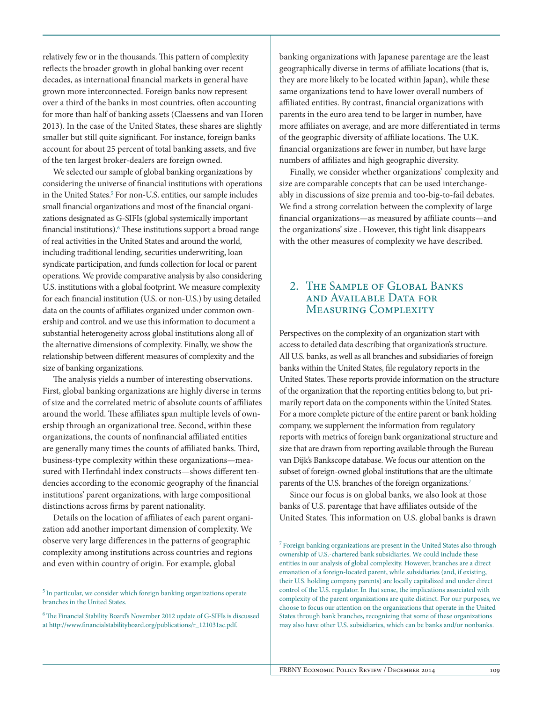relatively few or in the thousands. This pattern of complexity reflects the broader growth in global banking over recent decades, as international financial markets in general have grown more interconnected. Foreign banks now represent over a third of the banks in most countries, often accounting for more than half of banking assets (Claessens and van Horen 2013). In the case of the United States, these shares are slightly smaller but still quite significant. For instance, foreign banks account for about 25 percent of total banking assets, and five of the ten largest broker-dealers are foreign owned.

We selected our sample of global banking organizations by considering the universe of financial institutions with operations in the United States.<sup>5</sup> For non-U.S. entities, our sample includes small financial organizations and most of the financial organizations designated as G-SIFIs (global systemically important financial institutions).<sup>6</sup> These institutions support a broad range of real activities in the United States and around the world, including traditional lending, securities underwriting, loan syndicate participation, and funds collection for local or parent operations. We provide comparative analysis by also considering U.S. institutions with a global footprint. We measure complexity for each financial institution (U.S. or non-U.S.) by using detailed data on the counts of affiliates organized under common ownership and control, and we use this information to document a substantial heterogeneity across global institutions along all of the alternative dimensions of complexity. Finally, we show the relationship between different measures of complexity and the size of banking organizations.

The analysis yields a number of interesting observations. First, global banking organizations are highly diverse in terms of size and the correlated metric of absolute counts of affiliates around the world. These affiliates span multiple levels of ownership through an organizational tree. Second, within these organizations, the counts of nonfinancial affiliated entities are generally many times the counts of affiliated banks. Third, business-type complexity within these organizations—measured with Herfindahl index constructs—shows different tendencies according to the economic geography of the financial institutions' parent organizations, with large compositional distinctions across firms by parent nationality.

Details on the location of affiliates of each parent organization add another important dimension of complexity. We observe very large differences in the patterns of geographic complexity among institutions across countries and regions and even within country of origin. For example, global

banking organizations with Japanese parentage are the least geographically diverse in terms of affiliate locations (that is, they are more likely to be located within Japan), while these same organizations tend to have lower overall numbers of affiliated entities. By contrast, financial organizations with parents in the euro area tend to be larger in number, have more affiliates on average, and are more differentiated in terms of the geographic diversity of affiliate locations. The U.K. financial organizations are fewer in number, but have large numbers of affiliates and high geographic diversity.

Finally, we consider whether organizations' complexity and size are comparable concepts that can be used interchangeably in discussions of size premia and too-big-to-fail debates. We find a strong correlation between the complexity of large financial organizations—as measured by affiliate counts—and the organizations' size . However, this tight link disappears with the other measures of complexity we have described.

## 2. THE SAMPLE OF GLOBAL BANKS and Available Data for MEASURING COMPLEXITY

Perspectives on the complexity of an organization start with access to detailed data describing that organization's structure. All U.S. banks, as well as all branches and subsidiaries of foreign banks within the United States, file regulatory reports in the United States. These reports provide information on the structure of the organization that the reporting entities belong to, but primarily report data on the components within the United States. For a more complete picture of the entire parent or bank holding company, we supplement the information from regulatory reports with metrics of foreign bank organizational structure and size that are drawn from reporting available through the Bureau van Dijk's Bankscope database. We focus our attention on the subset of foreign-owned global institutions that are the ultimate parents of the U.S. branches of the foreign organizations.<sup>7</sup>

Since our focus is on global banks, we also look at those banks of U.S. parentage that have affiliates outside of the United States. This information on U.S. global banks is drawn

7 Foreign banking organizations are present in the United States also through ownership of U.S.-chartered bank subsidiaries. We could include these entities in our analysis of global complexity. However, branches are a direct emanation of a foreign-located parent, while subsidiaries (and, if existing, their U.S. holding company parents) are locally capitalized and under direct control of the U.S. regulator. In that sense, the implications associated with complexity of the parent organizations are quite distinct. For our purposes, we choose to focus our attention on the organizations that operate in the United States through bank branches, recognizing that some of these organizations may also have other U.S. subsidiaries, which can be banks and/or nonbanks.

<sup>&</sup>lt;sup>5</sup> In particular, we consider which foreign banking organizations operate branches in the United States.

<sup>6</sup> The Financial Stability Board's November 2012 update of G-SIFIs is discussed at http://www.financialstabilityboard.org/publications/r\_121031ac.pdf.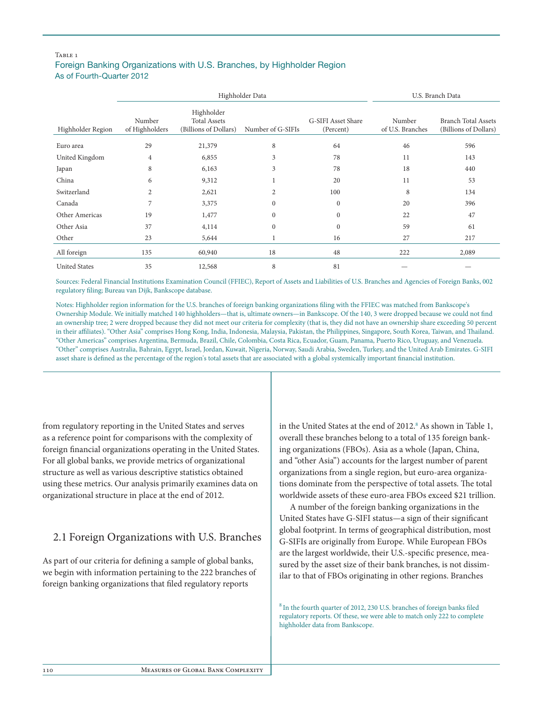#### TARLE<sub>1</sub> Foreign Banking Organizations with U.S. Branches, by Highholder Region As of Fourth-Quarter 2012

|                      |                          | Highholder Data                                            | U.S. Branch Data  |                                 |                            |                                                     |
|----------------------|--------------------------|------------------------------------------------------------|-------------------|---------------------------------|----------------------------|-----------------------------------------------------|
| Highholder Region    | Number<br>of Highholders | Highholder<br><b>Total Assets</b><br>(Billions of Dollars) | Number of G-SIFIs | G-SIFI Asset Share<br>(Percent) | Number<br>of U.S. Branches | <b>Branch Total Assets</b><br>(Billions of Dollars) |
| Euro area            | 29                       | 21,379                                                     | 8                 | 64                              | 46                         | 596                                                 |
| United Kingdom       | $\overline{4}$           | 6,855                                                      | 3                 | 78                              | 11                         | 143                                                 |
| Japan                | 8                        | 6,163                                                      | 3                 | 78                              | 18                         | 440                                                 |
| China                | 6                        | 9,312                                                      |                   | 20                              | 11                         | 53                                                  |
| Switzerland          | 2                        | 2,621                                                      | 2                 | 100                             | 8                          | 134                                                 |
| Canada               | 7                        | 3,375                                                      | $\mathbf{0}$      | $\mathbf{0}$                    | 20                         | 396                                                 |
| Other Americas       | 19                       | 1,477                                                      | $\mathbf{0}$      | $\mathbf{0}$                    | 22                         | 47                                                  |
| Other Asia           | 37                       | 4,114                                                      | $\Omega$          | $\Omega$                        | 59                         | 61                                                  |
| Other                | 23                       | 5,644                                                      | 1                 | 16                              | 27                         | 217                                                 |
| All foreign          | 135                      | 60,940                                                     | 18                | 48                              | 222                        | 2,089                                               |
| <b>United States</b> | 35                       | 12,568                                                     | 8                 | 81                              |                            |                                                     |

Sources: Federal Financial Institutions Examination Council (FFIEC), Report of Assets and Liabilities of U.S. Branches and Agencies of Foreign Banks, 002 regulatory filing; Bureau van Dijk, Bankscope database.

Notes: Highholder region information for the U.S. branches of foreign banking organizations filing with the FFIEC was matched from Bankscope's Ownership Module. We initially matched 140 highholders—that is, ultimate owners—in Bankscope. Of the 140, 3 were dropped because we could not find an ownership tree; 2 were dropped because they did not meet our criteria for complexity (that is, they did not have an ownership share exceeding 50 percent in their affiliates). "Other Asia" comprises Hong Kong, India, Indonesia, Malaysia, Pakistan, the Philippines, Singapore, South Korea, Taiwan, and Thailand. "Other Americas" comprises Argentina, Bermuda, Brazil, Chile, Colombia, Costa Rica, Ecuador, Guam, Panama, Puerto Rico, Uruguay, and Venezuela. "Other" comprises Australia, Bahrain, Egypt, Israel, Jordan, Kuwait, Nigeria, Norway, Saudi Arabia, Sweden, Turkey, and the United Arab Emirates. G-SIFI asset share is defined as the percentage of the region's total assets that are associated with a global systemically important financial institution.

from regulatory reporting in the United States and serves as a reference point for comparisons with the complexity of foreign financial organizations operating in the United States. For all global banks, we provide metrics of organizational structure as well as various descriptive statistics obtained using these metrics. Our analysis primarily examines data on organizational structure in place at the end of 2012.

# 2.1 Foreign Organizations with U.S. Branches

As part of our criteria for defining a sample of global banks, we begin with information pertaining to the 222 branches of foreign banking organizations that filed regulatory reports

in the United States at the end of 2012.<sup>8</sup> As shown in Table 1, overall these branches belong to a total of 135 foreign banking organizations (FBOs). Asia as a whole (Japan, China, and "other Asia") accounts for the largest number of parent organizations from a single region, but euro-area organizations dominate from the perspective of total assets. The total worldwide assets of these euro-area FBOs exceed \$21 trillion.

A number of the foreign banking organizations in the United States have G-SIFI status—a sign of their significant global footprint. In terms of geographical distribution, most G-SIFIs are originally from Europe. While European FBOs are the largest worldwide, their U.S.-specific presence, measured by the asset size of their bank branches, is not dissimilar to that of FBOs originating in other regions. Branches

8 In the fourth quarter of 2012, 230 U.S. branches of foreign banks filed regulatory reports. Of these, we were able to match only 222 to complete highholder data from Bankscope.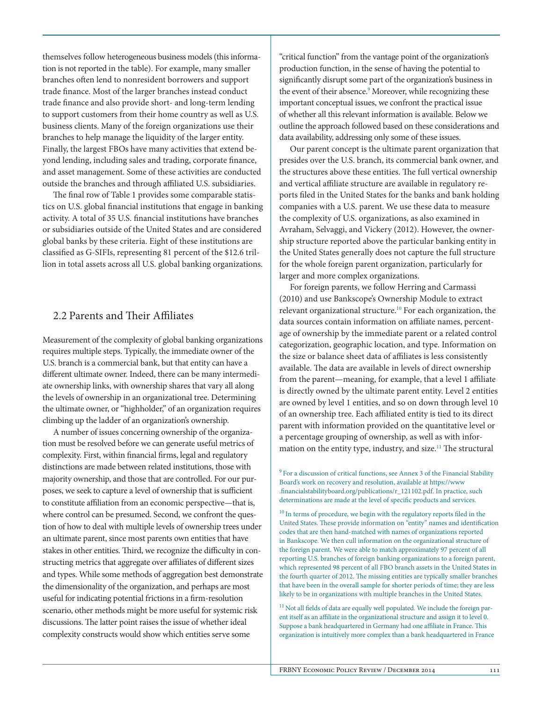themselves follow heterogeneous business models (this information is not reported in the table). For example, many smaller branches often lend to nonresident borrowers and support trade finance. Most of the larger branches instead conduct trade finance and also provide short- and long-term lending to support customers from their home country as well as U.S. business clients. Many of the foreign organizations use their branches to help manage the liquidity of the larger entity. Finally, the largest FBOs have many activities that extend beyond lending, including sales and trading, corporate finance, and asset management. Some of these activities are conducted outside the branches and through affiliated U.S. subsidiaries.

The final row of Table 1 provides some comparable statistics on U.S. global financial institutions that engage in banking activity. A total of 35 U.S. financial institutions have branches or subsidiaries outside of the United States and are considered global banks by these criteria. Eight of these institutions are classified as G-SIFIs, representing 81 percent of the \$12.6 trillion in total assets across all U.S. global banking organizations.

## 2.2 Parents and Their Affiliates

Measurement of the complexity of global banking organizations requires multiple steps. Typically, the immediate owner of the U.S. branch is a commercial bank, but that entity can have a different ultimate owner. Indeed, there can be many intermediate ownership links, with ownership shares that vary all along the levels of ownership in an organizational tree. Determining the ultimate owner, or "highholder," of an organization requires climbing up the ladder of an organization's ownership.

A number of issues concerning ownership of the organization must be resolved before we can generate useful metrics of complexity. First, within financial firms, legal and regulatory distinctions are made between related institutions, those with majority ownership, and those that are controlled. For our purposes, we seek to capture a level of ownership that is sufficient to constitute affiliation from an economic perspective—that is, where control can be presumed. Second, we confront the question of how to deal with multiple levels of ownership trees under an ultimate parent, since most parents own entities that have stakes in other entities. Third, we recognize the difficulty in constructing metrics that aggregate over affiliates of different sizes and types. While some methods of aggregation best demonstrate the dimensionality of the organization, and perhaps are most useful for indicating potential frictions in a firm-resolution scenario, other methods might be more useful for systemic risk discussions. The latter point raises the issue of whether ideal complexity constructs would show which entities serve some

"critical function" from the vantage point of the organization's production function, in the sense of having the potential to significantly disrupt some part of the organization's business in the event of their absence.<sup>9</sup> Moreover, while recognizing these important conceptual issues, we confront the practical issue of whether all this relevant information is available. Below we outline the approach followed based on these considerations and data availability, addressing only some of these issues.

Our parent concept is the ultimate parent organization that presides over the U.S. branch, its commercial bank owner, and the structures above these entities. The full vertical ownership and vertical affiliate structure are available in regulatory reports filed in the United States for the banks and bank holding companies with a U.S. parent. We use these data to measure the complexity of U.S. organizations, as also examined in Avraham, Selvaggi, and Vickery (2012). However, the ownership structure reported above the particular banking entity in the United States generally does not capture the full structure for the whole foreign parent organization, particularly for larger and more complex organizations.

For foreign parents, we follow Herring and Carmassi (2010) and use Bankscope's Ownership Module to extract relevant organizational structure.<sup>10</sup> For each organization, the data sources contain information on affiliate names, percentage of ownership by the immediate parent or a related control categorization, geographic location, and type. Information on the size or balance sheet data of affiliates is less consistently available. The data are available in levels of direct ownership from the parent—meaning, for example, that a level 1 affiliate is directly owned by the ultimate parent entity. Level 2 entities are owned by level 1 entities, and so on down through level 10 of an ownership tree. Each affiliated entity is tied to its direct parent with information provided on the quantitative level or a percentage grouping of ownership, as well as with information on the entity type, industry, and size.<sup>11</sup> The structural

<sup>9</sup> For a discussion of critical functions, see Annex 3 of the Financial Stability Board's work on recovery and resolution, available at https://www .financialstabilityboard.org/publications/r\_121102.pdf. In practice, such determinations are made at the level of specific products and services.

 $^{\rm 10}$  In terms of procedure, we begin with the regulatory reports filed in the United States. These provide information on "entity" names and identification codes that are then hand-matched with names of organizations reported in Bankscope. We then cull information on the organizational structure of the foreign parent. We were able to match approximately 97 percent of all reporting U.S. branches of foreign banking organizations to a foreign parent, which represented 98 percent of all FBO branch assets in the United States in the fourth quarter of 2012. The missing entities are typically smaller branches that have been in the overall sample for shorter periods of time; they are less likely to be in organizations with multiple branches in the United States.

<sup>11</sup> Not all fields of data are equally well populated. We include the foreign parent itself as an affiliate in the organizational structure and assign it to level 0. Suppose a bank headquartered in Germany had one affiliate in France. This organization is intuitively more complex than a bank headquartered in France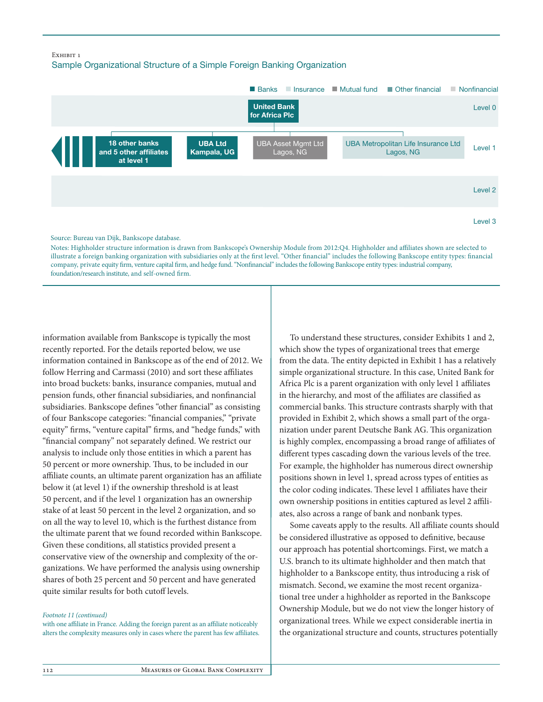#### EXHIBIT 1

Sample Organizational Structure of a Simple Foreign Banking Organization



Notes: Highholder structure information is drawn from Bankscope's Ownership Module from 2012:Q4. Highholder and affiliates shown are selected to illustrate a foreign banking organization with subsidiaries only at the first level. "Other financial" includes the following Bankscope entity types: financial company, private equity firm, venture capital firm, and hedge fund. "Nonfinancial" includes the following Bankscope entity types: industrial company, foundation/research institute, and self-owned firm.

information available from Bankscope is typically the most recently reported. For the details reported below, we use information contained in Bankscope as of the end of 2012. We follow Herring and Carmassi (2010) and sort these affiliates into broad buckets: banks, insurance companies, mutual and pension funds, other financial subsidiaries, and nonfinancial subsidiaries. Bankscope defines "other financial" as consisting of four Bankscope categories: "financial companies," "private equity" firms, "venture capital" firms, and "hedge funds," with "financial company" not separately defined. We restrict our analysis to include only those entities in which a parent has 50 percent or more ownership. Thus, to be included in our affiliate counts, an ultimate parent organization has an affiliate below it (at level 1) if the ownership threshold is at least 50 percent, and if the level 1 organization has an ownership stake of at least 50 percent in the level 2 organization, and so on all the way to level 10, which is the furthest distance from the ultimate parent that we found recorded within Bankscope. Given these conditions, all statistics provided present a conservative view of the ownership and complexity of the organizations. We have performed the analysis using ownership shares of both 25 percent and 50 percent and have generated quite similar results for both cutoff levels.

#### *Footnote 11 (continued)*

with one affiliate in France. Adding the foreign parent as an affiliate noticeably alters the complexity measures only in cases where the parent has few affiliates.

To understand these structures, consider Exhibits 1 and 2, which show the types of organizational trees that emerge from the data. The entity depicted in Exhibit 1 has a relatively simple organizational structure. In this case, United Bank for Africa Plc is a parent organization with only level 1 affiliates in the hierarchy, and most of the affiliates are classified as commercial banks. This structure contrasts sharply with that provided in Exhibit 2, which shows a small part of the organization under parent Deutsche Bank AG. This organization is highly complex, encompassing a broad range of affiliates of different types cascading down the various levels of the tree. For example, the highholder has numerous direct ownership positions shown in level 1, spread across types of entities as the color coding indicates. These level 1 affiliates have their own ownership positions in entities captured as level 2 affiliates, also across a range of bank and nonbank types.

Some caveats apply to the results. All affiliate counts should be considered illustrative as opposed to definitive, because our approach has potential shortcomings. First, we match a U.S. branch to its ultimate highholder and then match that highholder to a Bankscope entity, thus introducing a risk of mismatch. Second, we examine the most recent organizational tree under a highholder as reported in the Bankscope Ownership Module, but we do not view the longer history of organizational trees. While we expect considerable inertia in the organizational structure and counts, structures potentially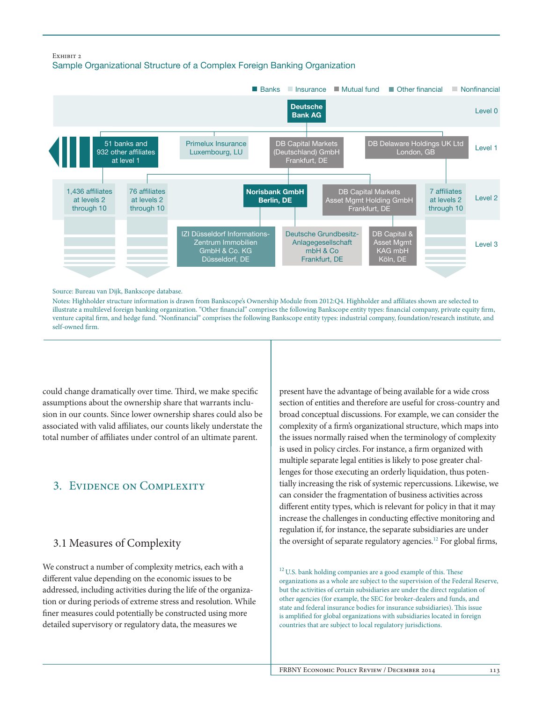#### Exhibit 2





#### Source: Bureau van Dijk, Bankscope database.

Notes: Highholder structure information is drawn from Bankscope's Ownership Module from 2012:Q4. Highholder and aliates shown are selected to illustrate a multilevel foreign banking organization. "Other financial" comprises the following Bankscope entity types: financial company, private equity firm, venture capital firm, and hedge fund. "Nonfinancial" comprises the following Bankscope entity types: industrial company, foundation/research institute, and self-owned firm.

could change dramatically over time. Third, we make specific assumptions about the ownership share that warrants inclusion in our counts. Since lower ownership shares could also be associated with valid affiliates, our counts likely understate the total number of affiliates under control of an ultimate parent.

# 3. Evidence on Complexity

## 3.1 Measures of Complexity

We construct a number of complexity metrics, each with a different value depending on the economic issues to be addressed, including activities during the life of the organization or during periods of extreme stress and resolution. While finer measures could potentially be constructed using more detailed supervisory or regulatory data, the measures we

present have the advantage of being available for a wide cross section of entities and therefore are useful for cross-country and broad conceptual discussions. For example, we can consider the complexity of a firm's organizational structure, which maps into the issues normally raised when the terminology of complexity is used in policy circles. For instance, a firm organized with multiple separate legal entities is likely to pose greater challenges for those executing an orderly liquidation, thus potentially increasing the risk of systemic repercussions. Likewise, we can consider the fragmentation of business activities across different entity types, which is relevant for policy in that it may increase the challenges in conducting effective monitoring and regulation if, for instance, the separate subsidiaries are under the oversight of separate regulatory agencies.12 For global firms,

 $12$  U.S. bank holding companies are a good example of this. These organizations as a whole are subject to the supervision of the Federal Reserve, but the activities of certain subsidiaries are under the direct regulation of other agencies (for example, the SEC for broker-dealers and funds, and state and federal insurance bodies for insurance subsidiaries). This issue is amplified for global organizations with subsidiaries located in foreign countries that are subject to local regulatory jurisdictions.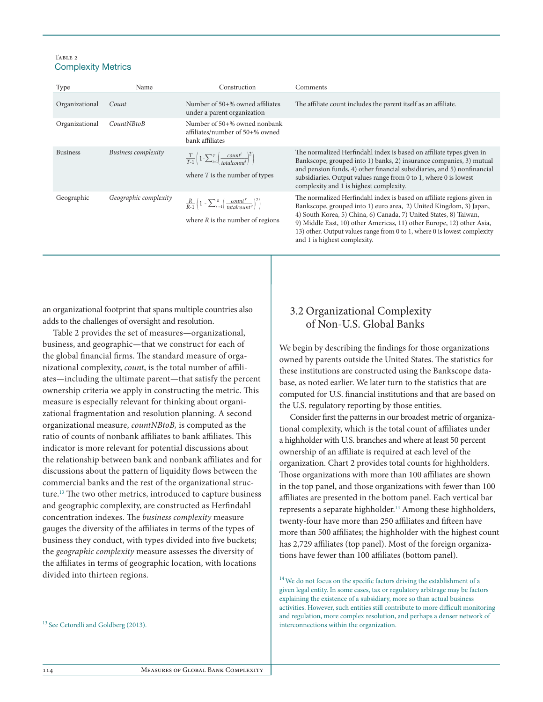#### TABLE 2 Complexity Metrics

| Type            | Name                       | Construction                                                                                                                | Comments                                                                                                                                                                                                                                                                                                                                                               |
|-----------------|----------------------------|-----------------------------------------------------------------------------------------------------------------------------|------------------------------------------------------------------------------------------------------------------------------------------------------------------------------------------------------------------------------------------------------------------------------------------------------------------------------------------------------------------------|
| Organizational  | Count                      | Number of 50+% owned affiliates<br>under a parent organization                                                              | The affiliate count includes the parent itself as an affiliate.                                                                                                                                                                                                                                                                                                        |
| Organizational  | CountNBtoB                 | Number of 50+% owned nonbank<br>affiliates/number of 50+% owned<br>bank affiliates                                          |                                                                                                                                                                                                                                                                                                                                                                        |
| <b>Business</b> | <b>Business complexity</b> | $\frac{T}{T-1}\left(1-\sum_{i=1}^T\left(\frac{count^i}{totalcount^i}\right)^2\right)$<br>where $T$ is the number of types   | The normalized Herfindahl index is based on affiliate types given in<br>Bankscope, grouped into 1) banks, 2) insurance companies, 3) mutual<br>and pension funds, 4) other financial subsidiaries, and 5) nonfinancial<br>subsidiaries. Output values range from 0 to 1, where 0 is lowest<br>complexity and 1 is highest complexity.                                  |
| Geographic      | Geographic complexity      | $\frac{R}{R-1}\left(1-\sum_{r=1}^R\left(\frac{count^r}{totalcount^r}\right)^2\right)$<br>where $R$ is the number of regions | The normalized Herfindahl index is based on affiliate regions given in<br>Bankscope, grouped into 1) euro area, 2) United Kingdom, 3) Japan,<br>4) South Korea, 5) China, 6) Canada, 7) United States, 8) Taiwan,<br>9) Middle East, 10) other Americas, 11) other Europe, 12) other Asia,<br>13) other. Output values range from 0 to 1, where 0 is lowest complexity |

an organizational footprint that spans multiple countries also adds to the challenges of oversight and resolution.

Table 2 provides the set of measures—organizational, business, and geographic—that we construct for each of the global financial firms. The standard measure of organizational complexity, *count*, is the total number of affiliates—including the ultimate parent—that satisfy the percent ownership criteria we apply in constructing the metric. This measure is especially relevant for thinking about organizational fragmentation and resolution planning. A second organizational measure, *countNBtoB,* is computed as the ratio of counts of nonbank affiliates to bank affiliates. This indicator is more relevant for potential discussions about the relationship between bank and nonbank affiliates and for discussions about the pattern of liquidity flows between the commercial banks and the rest of the organizational structure.13 The two other metrics, introduced to capture business and geographic complexity, are constructed as Herfindahl concentration indexes. The *business complexity* measure gauges the diversity of the affiliates in terms of the types of business they conduct, with types divided into five buckets; the *geographic complexity* measure assesses the diversity of the affiliates in terms of geographic location, with locations divided into thirteen regions.

<sup>13</sup> See Cetorelli and Goldberg (2013).

# 3.2 Organizational Complexity of Non-U.S. Global Banks

and 1 is highest complexity.

We begin by describing the findings for those organizations owned by parents outside the United States. The statistics for these institutions are constructed using the Bankscope database, as noted earlier. We later turn to the statistics that are computed for U.S. financial institutions and that are based on the U.S. regulatory reporting by those entities.

Consider first the patterns in our broadest metric of organizational complexity, which is the total count of affiliates under a highholder with U.S. branches and where at least 50 percent ownership of an affiliate is required at each level of the organization. Chart 2 provides total counts for highholders. Those organizations with more than 100 affiliates are shown in the top panel, and those organizations with fewer than 100 affiliates are presented in the bottom panel. Each vertical bar represents a separate highholder.<sup>14</sup> Among these highholders, twenty-four have more than 250 affiliates and fifteen have more than 500 affiliates; the highholder with the highest count has 2,729 affiliates (top panel). Most of the foreign organizations have fewer than 100 affiliates (bottom panel).

<sup>14</sup> We do not focus on the specific factors driving the establishment of a given legal entity. In some cases, tax or regulatory arbitrage may be factors explaining the existence of a subsidiary, more so than actual business activities. However, such entities still contribute to more difficult monitoring and regulation, more complex resolution, and perhaps a denser network of interconnections within the organization.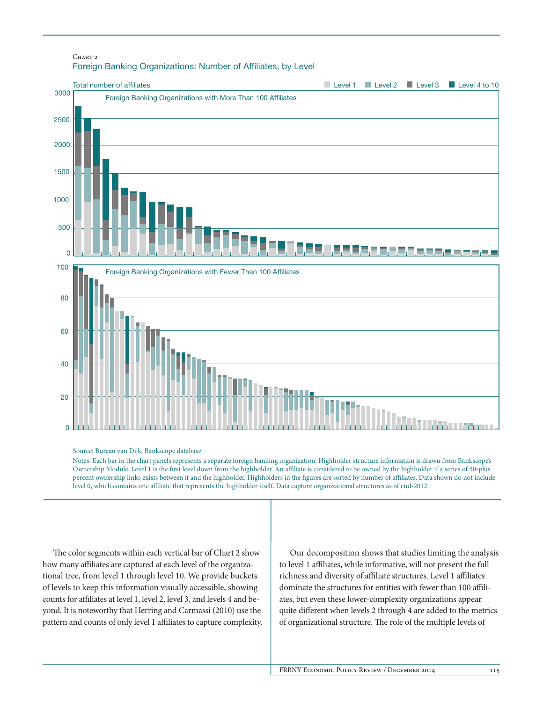## CHART<sub>2</sub> Foreign Banking Organizations: Number of Affiliates, by Level



#### Source: Bureau van Dijk, Bankscope database.

Notes: Each bar in the chart panels represents a separate foreign banking organization. Highholder structure information is drawn from Bankscope's Ownership Module. Level 1 is the first level down from the highholder. An affiliate is considered to be owned by the highholder if a series of 50-plus percent ownership links exists between it and the highholder. Highholders in the figures are sorted by number of affiliates. Data shown do not include level 0, which contains one aliate that represents the highholder itself. Data capture organizational structures as of end-2012.

The color segments within each vertical bar of Chart 2 show how many affiliates are captured at each level of the organizational tree, from level 1 through level 10. We provide buckets of levels to keep this information visually accessible, showing counts for affiliates at level 1, level 2, level 3, and levels 4 and beyond. It is noteworthy that Herring and Carmassi (2010) use the pattern and counts of only level 1 affiliates to capture complexity.

Our decomposition shows that studies limiting the analysis to level 1 affiliates, while informative, will not present the full richness and diversity of affiliate structures. Level 1 affiliates dominate the structures for entities with fewer than 100 affiliates, but even these lower-complexity organizations appear quite different when levels 2 through 4 are added to the metrics of organizational structure. The role of the multiple levels of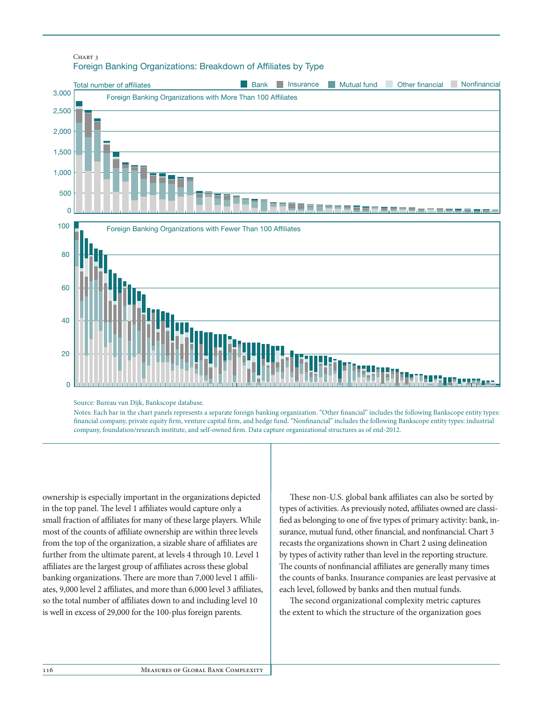#### CHART<sub>2</sub> Foreign Banking Organizations: Breakdown of Afliates by Type



Source: Bureau van Dijk, Bankscope database.

Notes: Each bar in the chart panels represents a separate foreign banking organization. "Other financial" includes the following Bankscope entity types: financial company, private equity firm, venture capital firm, and hedge fund. "Nonfinancial" includes the following Bankscope entity types: industrial company, foundation/research institute, and self-owned firm. Data capture organizational structures as of end-2012.

ownership is especially important in the organizations depicted in the top panel. The level 1 affiliates would capture only a small fraction of affiliates for many of these large players. While most of the counts of affiliate ownership are within three levels from the top of the organization, a sizable share of affiliates are further from the ultimate parent, at levels 4 through 10. Level 1 affiliates are the largest group of affiliates across these global banking organizations. There are more than 7,000 level 1 affiliates, 9,000 level 2 affiliates, and more than 6,000 level 3 affiliates, so the total number of affiliates down to and including level 10 is well in excess of 29,000 for the 100-plus foreign parents.

These non-U.S. global bank affiliates can also be sorted by types of activities. As previously noted, affiliates owned are classified as belonging to one of five types of primary activity: bank, insurance, mutual fund, other financial, and nonfinancial. Chart 3 recasts the organizations shown in Chart 2 using delineation by types of activity rather than level in the reporting structure. The counts of nonfinancial affiliates are generally many times the counts of banks. Insurance companies are least pervasive at each level, followed by banks and then mutual funds.

The second organizational complexity metric captures the extent to which the structure of the organization goes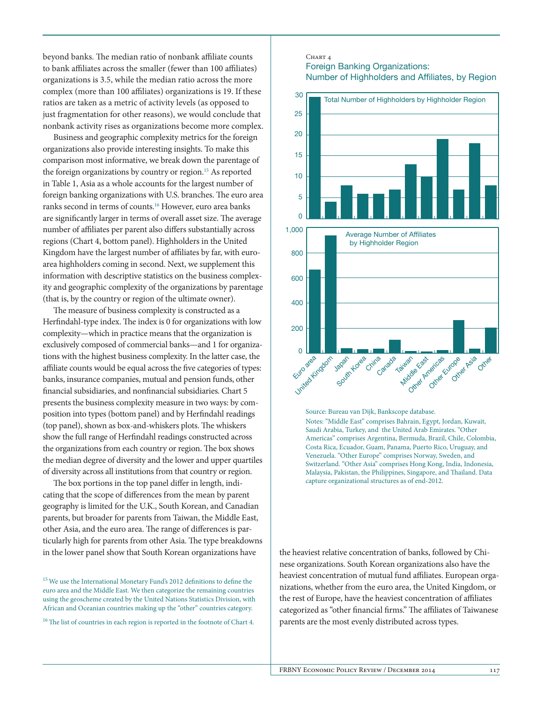beyond banks. The median ratio of nonbank affiliate counts to bank affiliates across the smaller (fewer than 100 affiliates) organizations is 3.5, while the median ratio across the more complex (more than 100 affiliates) organizations is 19. If these ratios are taken as a metric of activity levels (as opposed to just fragmentation for other reasons), we would conclude that nonbank activity rises as organizations become more complex.

Business and geographic complexity metrics for the foreign organizations also provide interesting insights. To make this comparison most informative, we break down the parentage of the foreign organizations by country or region.<sup>15</sup> As reported in Table 1, Asia as a whole accounts for the largest number of foreign banking organizations with U.S. branches. The euro area ranks second in terms of counts.16 However, euro area banks are significantly larger in terms of overall asset size. The average number of affiliates per parent also differs substantially across regions (Chart 4, bottom panel). Highholders in the United Kingdom have the largest number of affiliates by far, with euroarea highholders coming in second. Next, we supplement this information with descriptive statistics on the business complexity and geographic complexity of the organizations by parentage (that is, by the country or region of the ultimate owner).

The measure of business complexity is constructed as a Herfindahl-type index. The index is 0 for organizations with low complexity—which in practice means that the organization is exclusively composed of commercial banks—and 1 for organizations with the highest business complexity. In the latter case, the affiliate counts would be equal across the five categories of types: banks, insurance companies, mutual and pension funds, other financial subsidiaries, and nonfinancial subsidiaries. Chart 5 presents the business complexity measure in two ways: by composition into types (bottom panel) and by Herfindahl readings (top panel), shown as box-and-whiskers plots. The whiskers show the full range of Herfindahl readings constructed across the organizations from each country or region. The box shows the median degree of diversity and the lower and upper quartiles of diversity across all institutions from that country or region.

The box portions in the top panel differ in length, indicating that the scope of differences from the mean by parent geography is limited for the U.K., South Korean, and Canadian parents, but broader for parents from Taiwan, the Middle East, other Asia, and the euro area. The range of differences is particularly high for parents from other Asia. The type breakdowns in the lower panel show that South Korean organizations have

<sup>15</sup> We use the International Monetary Fund's 2012 definitions to define the euro area and the Middle East. We then categorize the remaining countries using the geoscheme created by the United Nations Statistics Division, with African and Oceanian countries making up the "other" countries category.

<sup>16</sup> The list of countries in each region is reported in the footnote of Chart 4.

### $CHARTA$ Foreign Banking Organizations: Number of Highholders and Afliates, by Region



Source: Bureau van Dijk, Bankscope database. Notes: "Middle East" comprises Bahrain, Egypt, Jordan, Kuwait, Saudi Arabia, Turkey, and the United Arab Emirates. "Other Americas" comprises Argentina, Bermuda, Brazil, Chile, Colombia, Costa Rica, Ecuador, Guam, Panama, Puerto Rico, Uruguay, and Venezuela. "Other Europe" comprises Norway, Sweden, and Switzerland. "Other Asia" comprises Hong Kong, India, Indonesia, Malaysia, Pakistan, the Philippines, Singapore, and Thailand. Data capture organizational structures as of end-2012.

the heaviest relative concentration of banks, followed by Chinese organizations. South Korean organizations also have the heaviest concentration of mutual fund affiliates. European organizations, whether from the euro area, the United Kingdom, or the rest of Europe, have the heaviest concentration of affiliates categorized as "other financial firms." The affiliates of Taiwanese parents are the most evenly distributed across types.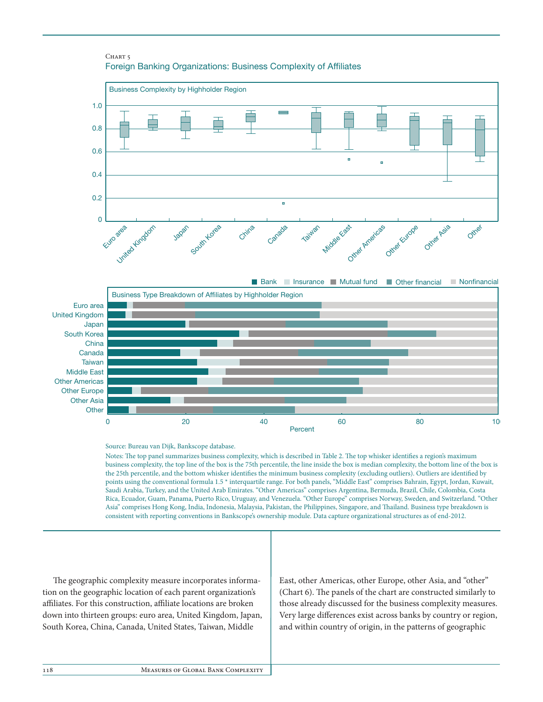#### CHART<sub>5</sub> Foreign Banking Organizations: Business Complexity of Afliates





Source: Bureau van Dijk, Bankscope database.

Notes: The top panel summarizes business complexity, which is described in Table 2. The top whisker identifies a region's maximum business complexity, the top line of the box is the 75th percentile, the line inside the box is median complexity, the bottom line of the box is the 25th percentile, and the bottom whisker identifies the minimum business complexity (excluding outliers). Outliers are identified by points using the conventional formula 1.5 \* interquartile range. For both panels, "Middle East" comprises Bahrain, Egypt, Jordan, Kuwait, Saudi Arabia, Turkey, and the United Arab Emirates. "Other Americas" comprises Argentina, Bermuda, Brazil, Chile, Colombia, Costa Rica, Ecuador, Guam, Panama, Puerto Rico, Uruguay, and Venezuela. "Other Europe" comprises Norway, Sweden, and Switzerland. "Other Asia" comprises Hong Kong, India, Indonesia, Malaysia, Pakistan, the Philippines, Singapore, and Thailand. Business type breakdown is consistent with reporting conventions in Bankscope's ownership module. Data capture organizational structures as of end-2012.

The geographic complexity measure incorporates information on the geographic location of each parent organization's affiliates. For this construction, affiliate locations are broken down into thirteen groups: euro area, United Kingdom, Japan, South Korea, China, Canada, United States, Taiwan, Middle

East, other Americas, other Europe, other Asia, and "other" (Chart 6). The panels of the chart are constructed similarly to those already discussed for the business complexity measures. Very large differences exist across banks by country or region, and within country of origin, in the patterns of geographic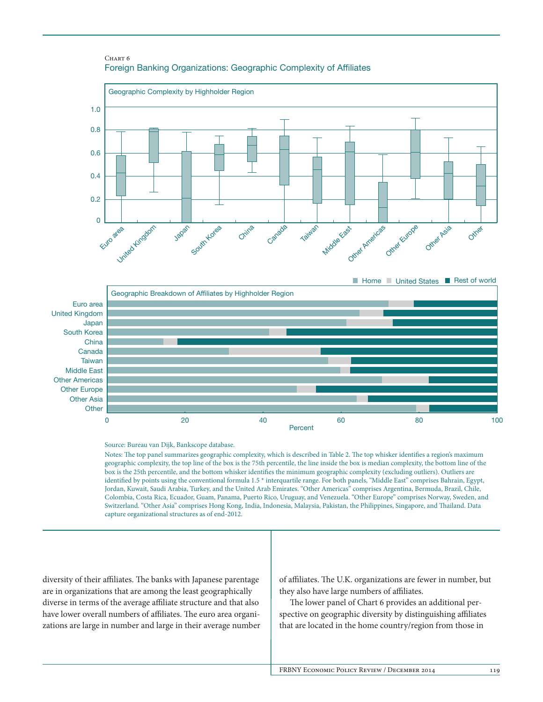





Source: Bureau van Dijk, Bankscope database.

Notes: The top panel summarizes geographic complexity, which is described in Table 2. The top whisker identifies a region's maximum geographic complexity, the top line of the box is the 75th percentile, the line inside the box is median complexity, the bottom line of the box is the 25th percentile, and the bottom whisker identifies the minimum geographic complexity (excluding outliers). Outliers are identied by points using the conventional formula 1.5 \* interquartile range. For both panels, "Middle East" comprises Bahrain, Egypt, Jordan, Kuwait, Saudi Arabia, Turkey, and the United Arab Emirates. "Other Americas" comprises Argentina, Bermuda, Brazil, Chile, Colombia, Costa Rica, Ecuador, Guam, Panama, Puerto Rico, Uruguay, and Venezuela. "Other Europe" comprises Norway, Sweden, and Switzerland. "Other Asia" comprises Hong Kong, India, Indonesia, Malaysia, Pakistan, the Philippines, Singapore, and Thailand. Data capture organizational structures as of end-2012.

diversity of their affiliates. The banks with Japanese parentage are in organizations that are among the least geographically diverse in terms of the average affiliate structure and that also have lower overall numbers of affiliates. The euro area organizations are large in number and large in their average number of affiliates. The U.K. organizations are fewer in number, but they also have large numbers of affiliates.

The lower panel of Chart 6 provides an additional perspective on geographic diversity by distinguishing affiliates that are located in the home country/region from those in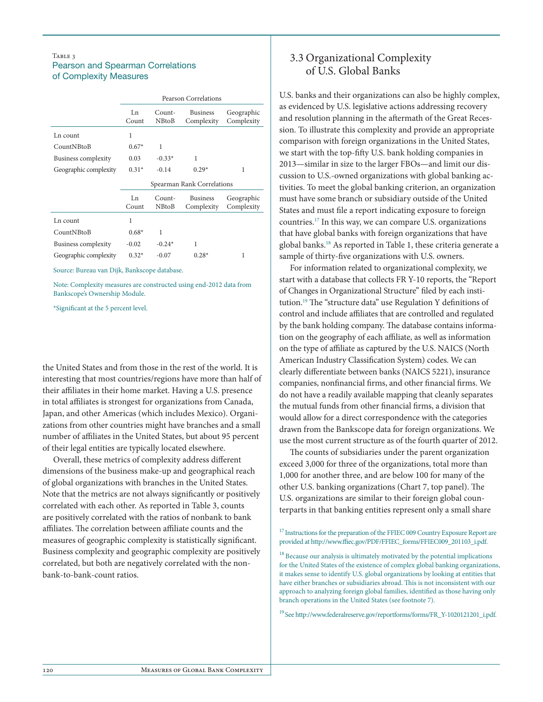## TABLE 3 Pearson and Spearman Correlations of Complexity Measures

|                            | <b>Pearson Correlations</b> |                        |                               |                          |  |
|----------------------------|-----------------------------|------------------------|-------------------------------|--------------------------|--|
|                            | Ln<br>Count                 | Count-<br><b>NBtoB</b> | <b>Business</b><br>Complexity | Geographic<br>Complexity |  |
| Ln count                   | 1                           |                        |                               |                          |  |
| CountNBtoB                 | $0.67*$                     | 1                      |                               |                          |  |
| <b>Business complexity</b> | 0.03                        | $-0.33*$               | 1                             |                          |  |
| Geographic complexity      | $0.31*$                     | $-0.14$                | $0.29*$                       | 1                        |  |
|                            | Spearman Rank Correlations  |                        |                               |                          |  |
|                            |                             |                        |                               |                          |  |
|                            | Ln<br>Count                 | Count-<br><b>NBtoB</b> | <b>Business</b><br>Complexity | Geographic<br>Complexity |  |
| Ln count                   | 1                           |                        |                               |                          |  |
| CountNBtoB                 | $0.68*$                     | 1                      |                               |                          |  |
| Business complexity        | $-0.02$                     | $-0.24*$               | 1                             |                          |  |

Source: Bureau van Dijk, Bankscope database.

Note: Complexity measures are constructed using end-2012 data from Bankscope's Ownership Module.

\*Significant at the 5 percent level.

the United States and from those in the rest of the world. It is interesting that most countries/regions have more than half of their affiliates in their home market. Having a U.S. presence in total affiliates is strongest for organizations from Canada, Japan, and other Americas (which includes Mexico). Organizations from other countries might have branches and a small number of affiliates in the United States, but about 95 percent of their legal entities are typically located elsewhere.

Overall, these metrics of complexity address different dimensions of the business make-up and geographical reach of global organizations with branches in the United States. Note that the metrics are not always significantly or positively correlated with each other. As reported in Table 3, counts are positively correlated with the ratios of nonbank to bank affiliates. The correlation between affiliate counts and the measures of geographic complexity is statistically significant. Business complexity and geographic complexity are positively correlated, but both are negatively correlated with the nonbank-to-bank-count ratios.

## 3.3 Organizational Complexity of U.S. Global Banks

U.S. banks and their organizations can also be highly complex, as evidenced by U.S. legislative actions addressing recovery and resolution planning in the aftermath of the Great Recession. To illustrate this complexity and provide an appropriate comparison with foreign organizations in the United States, we start with the top-fifty U.S. bank holding companies in 2013—similar in size to the larger FBOs—and limit our discussion to U.S.-owned organizations with global banking activities. To meet the global banking criterion, an organization must have some branch or subsidiary outside of the United States and must file a report indicating exposure to foreign countries.17 In this way, we can compare U.S. organizations that have global banks with foreign organizations that have global banks.18 As reported in Table 1, these criteria generate a sample of thirty-five organizations with U.S. owners.

For information related to organizational complexity, we start with a database that collects FR Y-10 reports, the "Report of Changes in Organizational Structure" filed by each institution.19 The "structure data" use Regulation Y definitions of control and include affiliates that are controlled and regulated by the bank holding company. The database contains information on the geography of each affiliate, as well as information on the type of affiliate as captured by the U.S. NAICS (North American Industry Classification System) codes. We can clearly differentiate between banks (NAICS 5221), insurance companies, nonfinancial firms, and other financial firms. We do not have a readily available mapping that cleanly separates the mutual funds from other financial firms, a division that would allow for a direct correspondence with the categories drawn from the Bankscope data for foreign organizations. We use the most current structure as of the fourth quarter of 2012.

The counts of subsidiaries under the parent organization exceed 3,000 for three of the organizations, total more than 1,000 for another three, and are below 100 for many of the other U.S. banking organizations (Chart 7, top panel). The U.S. organizations are similar to their foreign global counterparts in that banking entities represent only a small share

<sup>17</sup> Instructions for the preparation of the FFIEC 009 Country Exposure Report are provided at http://www.ffiec.gov/PDF/FFIEC\_forms/FFIEC009\_201103\_i.pdf.

 $^{18}$  Because our analysis is ultimately motivated by the potential implications for the United States of the existence of complex global banking organizations, it makes sense to identify U.S. global organizations by looking at entities that have either branches or subsidiaries abroad. This is not inconsistent with our approach to analyzing foreign global families, identified as those having only branch operations in the United States (see footnote 7).

19 See http://www.federalreserve.gov/reportforms/forms/FR\_Y-1020121201\_i.pdf.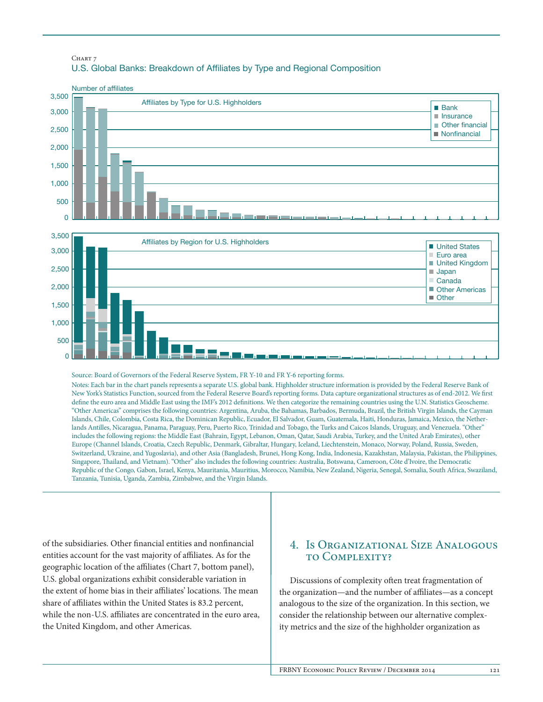## CHART 7 U.S. Global Banks: Breakdown of Afliates by Type and Regional Composition



Notes: Each bar in the chart panels represents a separate U.S. global bank. Highholder structure information is provided by the Federal Reserve Bank of New York's Statistics Function, sourced from the Federal Reserve Board's reporting forms. Data capture organizational structures as of end-2012. We first define the euro area and Middle East using the IMF's 2012 definitions. We then categorize the remaining countries using the U.N. Statistics Geoscheme. "Other Americas" comprises the following countries: Argentina, Aruba, the Bahamas, Barbados, Bermuda, Brazil, the British Virgin Islands, the Cayman Islands, Chile, Colombia, Costa Rica, the Dominican Republic, Ecuador, El Salvador, Guam, Guatemala, Haiti, Honduras, Jamaica, Mexico, the Netherlands Antilles, Nicaragua, Panama, Paraguay, Peru, Puerto Rico, Trinidad and Tobago, the Turks and Caicos Islands, Uruguay, and Venezuela. "Other" includes the following regions: the Middle East (Bahrain, Egypt, Lebanon, Oman, Qatar, Saudi Arabia, Turkey, and the United Arab Emirates), other Europe (Channel Islands, Croatia, Czech Republic, Denmark, Gibraltar, Hungary, Iceland, Liechtenstein, Monaco, Norway, Poland, Russia, Sweden, Switzerland, Ukraine, and Yugoslavia), and other Asia (Bangladesh, Brunei, Hong Kong, India, Indonesia, Kazakhstan, Malaysia, Pakistan, the Philippines, Singapore, Thailand, and Vietnam). "Other" also includes the following countries: Australia, Botswana, Cameroon, Côte d'Ivoire, the Democratic Republic of the Congo, Gabon, Israel, Kenya, Mauritania, Mauritius, Morocco, Namibia, New Zealand, Nigeria, Senegal, Somalia, South Africa, Swaziland, Tanzania, Tunisia, Uganda, Zambia, Zimbabwe, and the Virgin Islands.

of the subsidiaries. Other financial entities and nonfinancial entities account for the vast majority of affiliates. As for the geographic location of the affiliates (Chart 7, bottom panel), U.S. global organizations exhibit considerable variation in the extent of home bias in their affiliates' locations. The mean share of affiliates within the United States is 83.2 percent, while the non-U.S. affiliates are concentrated in the euro area, the United Kingdom, and other Americas.

## 4. Is Organizational Size Analogous to Complexity?

Discussions of complexity often treat fragmentation of the organization—and the number of affiliates—as a concept analogous to the size of the organization. In this section, we consider the relationship between our alternative complexity metrics and the size of the highholder organization as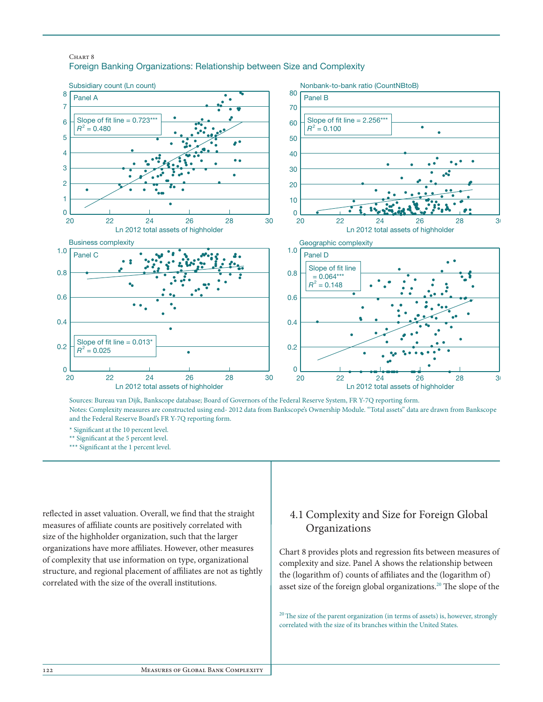## Chart 8 Foreign Banking Organizations: Relationship between Size and Complexity



Sources: Bureau van Dijk, Bankscope database; Board of Governors of the Federal Reserve System, FR Y-7Q reporting form. Notes: Complexity measures are constructed using end- 2012 data from Bankscope's Ownership Module. "Total assets" data are drawn from Bankscope and the Federal Reserve Board's FR Y-7Q reporting form.

\* Signicant at the 10 percent level.

\*\* Significant at the 5 percent level.

\*\*\* Significant at the 1 percent level.

reflected in asset valuation. Overall, we find that the straight measures of affiliate counts are positively correlated with size of the highholder organization, such that the larger organizations have more affiliates. However, other measures of complexity that use information on type, organizational structure, and regional placement of affiliates are not as tightly correlated with the size of the overall institutions.

# 4.1 Complexity and Size for Foreign Global Organizations

Chart 8 provides plots and regression fits between measures of complexity and size. Panel A shows the relationship between the (logarithm of) counts of affiliates and the (logarithm of) asset size of the foreign global organizations.<sup>20</sup> The slope of the

 $20$  The size of the parent organization (in terms of assets) is, however, strongly correlated with the size of its branches within the United States.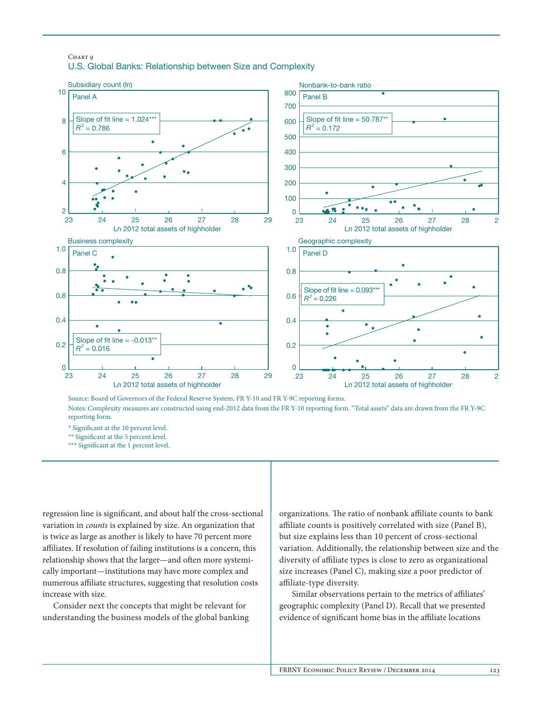## Chart 9 U.S. Global Banks: Relationship between Size and Complexity



Source: Board of Governors of the Federal Reserve System, FR Y-10 and FR Y-9C reporting forms. Notes: Complexity measures are constructed using end-2012 data from the FR Y-10 reporting form. "Total assets" data are drawn from the FR Y-9C reporting form.

\* Signicant at the 10 percent level.

\*\* Significant at the 5 percent level.

\*\*\* Significant at the 1 percent level.

regression line is significant, and about half the cross-sectional variation in *counts* is explained by size. An organization that is twice as large as another is likely to have 70 percent more affiliates. If resolution of failing institutions is a concern, this relationship shows that the larger—and often more systemically important—institutions may have more complex and numerous affiliate structures, suggesting that resolution costs increase with size.

Consider next the concepts that might be relevant for understanding the business models of the global banking organizations. The ratio of nonbank affiliate counts to bank affiliate counts is positively correlated with size (Panel B), but size explains less than 10 percent of cross-sectional variation. Additionally, the relationship between size and the diversity of affiliate types is close to zero as organizational size increases (Panel C), making size a poor predictor of affiliate-type diversity.

 Similar observations pertain to the metrics of affiliates' geographic complexity (Panel D). Recall that we presented evidence of significant home bias in the affiliate locations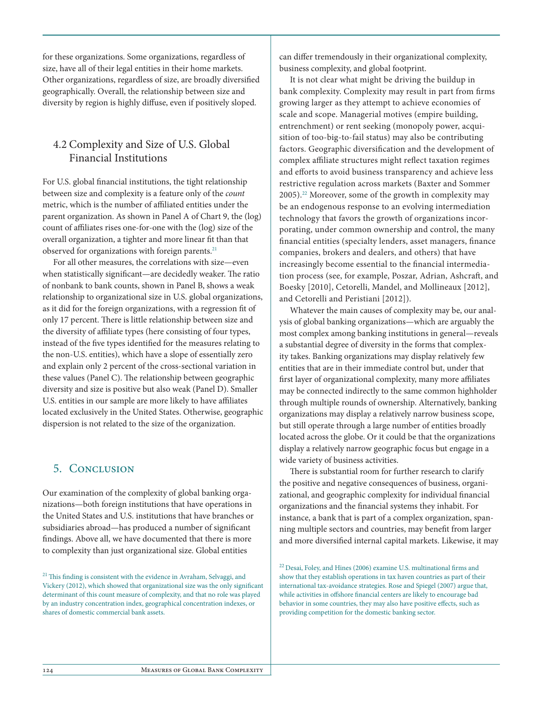for these organizations. Some organizations, regardless of size, have all of their legal entities in their home markets. Other organizations, regardless of size, are broadly diversified geographically. Overall, the relationship between size and diversity by region is highly diffuse, even if positively sloped.

## 4.2 Complexity and Size of U.S. Global Financial Institutions

For U.S. global financial institutions, the tight relationship between size and complexity is a feature only of the *count* metric, which is the number of affiliated entities under the parent organization. As shown in Panel A of Chart 9, the (log) count of affiliates rises one-for-one with the (log) size of the overall organization, a tighter and more linear fit than that observed for organizations with foreign parents.<sup>21</sup>

For all other measures, the correlations with size—even when statistically significant—are decidedly weaker. The ratio of nonbank to bank counts, shown in Panel B, shows a weak relationship to organizational size in U.S. global organizations, as it did for the foreign organizations, with a regression fit of only 17 percent. There is little relationship between size and the diversity of affiliate types (here consisting of four types, instead of the five types identified for the measures relating to the non-U.S. entities), which have a slope of essentially zero and explain only 2 percent of the cross-sectional variation in these values (Panel C). The relationship between geographic diversity and size is positive but also weak (Panel D). Smaller U.S. entities in our sample are more likely to have affiliates located exclusively in the United States. Otherwise, geographic dispersion is not related to the size of the organization.

## 5. Conclusion

Our examination of the complexity of global banking organizations—both foreign institutions that have operations in the United States and U.S. institutions that have branches or subsidiaries abroad—has produced a number of significant findings. Above all, we have documented that there is more to complexity than just organizational size. Global entities

can differ tremendously in their organizational complexity, business complexity, and global footprint.

It is not clear what might be driving the buildup in bank complexity. Complexity may result in part from firms growing larger as they attempt to achieve economies of scale and scope. Managerial motives (empire building, entrenchment) or rent seeking (monopoly power, acquisition of too-big-to-fail status) may also be contributing factors. Geographic diversification and the development of complex affiliate structures might reflect taxation regimes and efforts to avoid business transparency and achieve less restrictive regulation across markets (Baxter and Sommer 2005).22 Moreover, some of the growth in complexity may be an endogenous response to an evolving intermediation technology that favors the growth of organizations incorporating, under common ownership and control, the many financial entities (specialty lenders, asset managers, finance companies, brokers and dealers, and others) that have increasingly become essential to the financial intermediation process (see, for example, Poszar, Adrian, Ashcraft, and Boesky [2010], Cetorelli, Mandel, and Mollineaux [2012], and Cetorelli and Peristiani [2012]).

Whatever the main causes of complexity may be, our analysis of global banking organizations—which are arguably the most complex among banking institutions in general—reveals a substantial degree of diversity in the forms that complexity takes. Banking organizations may display relatively few entities that are in their immediate control but, under that first layer of organizational complexity, many more affiliates may be connected indirectly to the same common highholder through multiple rounds of ownership. Alternatively, banking organizations may display a relatively narrow business scope, but still operate through a large number of entities broadly located across the globe. Or it could be that the organizations display a relatively narrow geographic focus but engage in a wide variety of business activities.

There is substantial room for further research to clarify the positive and negative consequences of business, organizational, and geographic complexity for individual financial organizations and the financial systems they inhabit. For instance, a bank that is part of a complex organization, spanning multiple sectors and countries, may benefit from larger and more diversified internal capital markets. Likewise, it may

<sup>22</sup> Desai, Foley, and Hines (2006) examine U.S. multinational firms and show that they establish operations in tax haven countries as part of their international tax-avoidance strategies. Rose and Spiegel (2007) argue that, while activities in offshore financial centers are likely to encourage bad behavior in some countries, they may also have positive effects, such as providing competition for the domestic banking sector.

 $21$  This finding is consistent with the evidence in Avraham, Selvaggi, and Vickery (2012), which showed that organizational size was the only significant determinant of this count measure of complexity, and that no role was played by an industry concentration index, geographical concentration indexes, or shares of domestic commercial bank assets.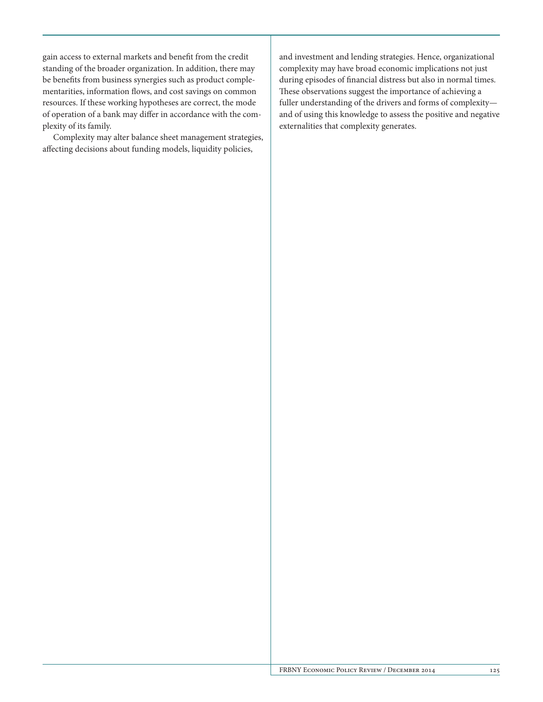gain access to external markets and benefit from the credit standing of the broader organization. In addition, there may be benefits from business synergies such as product complementarities, information flows, and cost savings on common resources. If these working hypotheses are correct, the mode of operation of a bank may differ in accordance with the complexity of its family.

Complexity may alter balance sheet management strategies, affecting decisions about funding models, liquidity policies,

and investment and lending strategies. Hence, organizational complexity may have broad economic implications not just during episodes of financial distress but also in normal times. These observations suggest the importance of achieving a fuller understanding of the drivers and forms of complexity and of using this knowledge to assess the positive and negative externalities that complexity generates.